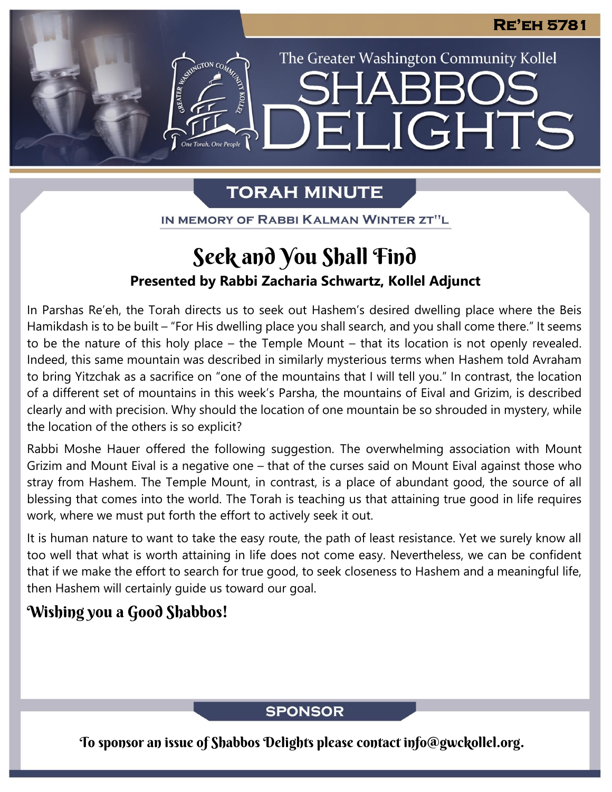The Greater Washington Community Kollel

LIGHTS

# **TORAH MINUTE**

FI

IN MEMORY OF RABBI KALMAN WINTER ZT"L

# **Presented by Rabbi Zacharia Schwartz, Kollel Adjunct** Seek and You Shall Find

In Parshas Re'eh, the Torah directs us to seek out Hashem's desired dwelling place where the Beis Hamikdash is to be built – "For His dwelling place you shall search, and you shall come there." It seems to be the nature of this holy place – the Temple Mount – that its location is not openly revealed. Indeed, this same mountain was described in similarly mysterious terms when Hashem told Avraham to bring Yitzchak as a sacrifice on "one of the mountains that I will tell you." In contrast, the location of a different set of mountains in this week's Parsha, the mountains of Eival and Grizim, is described clearly and with precision. Why should the location of one mountain be so shrouded in mystery, while the location of the others is so explicit?

Rabbi Moshe Hauer offered the following suggestion. The overwhelming association with Mount Grizim and Mount Eival is a negative one – that of the curses said on Mount Eival against those who stray from Hashem. The Temple Mount, in contrast, is a place of abundant good, the source of all blessing that comes into the world. The Torah is teaching us that attaining true good in life requires work, where we must put forth the effort to actively seek it out.

It is human nature to want to take the easy route, the path of least resistance. Yet we surely know all too well that what is worth attaining in life does not come easy. Nevertheless, we can be confident that if we make the effort to search for true good, to seek closeness to Hashem and a meaningful life, then Hashem will certainly guide us toward our goal.

## Wishing you a Good Shabbos!

### **SPONSOR**

To sponsor an issue of Shabbos Delights please contact info@gwckollel.org.